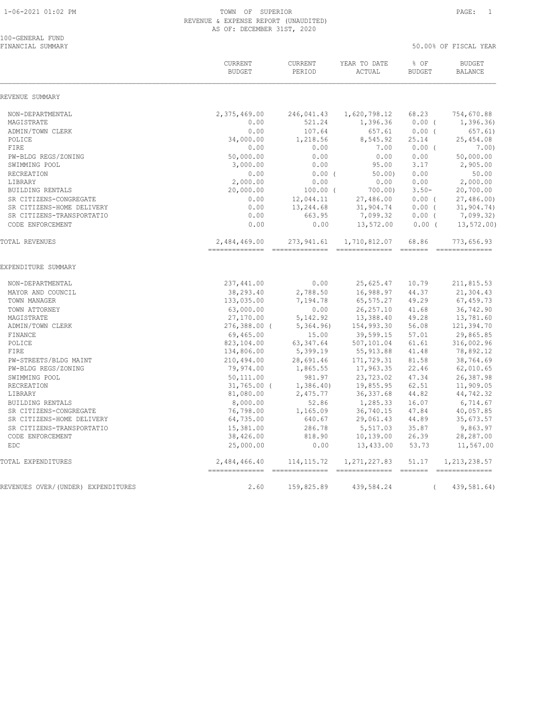| 100-GENERAL FUND<br>FINANCIAL SUMMARY |                                |                              |                                |                          | 50.00% OF FISCAL YEAR              |  |
|---------------------------------------|--------------------------------|------------------------------|--------------------------------|--------------------------|------------------------------------|--|
|                                       | CURRENT<br><b>BUDGET</b>       | CURRENT<br>PERIOD            | YEAR TO DATE<br>ACTUAL         | % OF<br><b>BUDGET</b>    | <b>BUDGET</b><br><b>BALANCE</b>    |  |
| REVENUE SUMMARY                       |                                |                              |                                |                          |                                    |  |
| NON-DEPARTMENTAL                      | 2,375,469.00                   | 246,041.43                   | 1,620,798.12                   | 68.23                    | 754,670.88                         |  |
| MAGISTRATE                            | 0.00                           | 521.24                       | 1,396.36                       | $0.00$ (                 | 1,396.36)                          |  |
| ADMIN/TOWN CLERK                      | 0.00                           | 107.64                       | 657.61                         | 0.00(                    | 657.61)                            |  |
| POLICE                                | 34,000.00                      | 1,218.56                     | 8,545.92                       | 25.14                    | 25,454.08                          |  |
| FIRE                                  | 0.00                           | 0.00                         | 7.00                           | $0.00$ (                 | 7.00)                              |  |
| PW-BLDG REGS/ZONING                   | 50,000.00                      | 0.00                         | 0.00                           | 0.00                     | 50,000.00                          |  |
| SWIMMING POOL                         | 3,000.00                       | 0.00                         | 95.00                          | 3.17                     | 2,905.00                           |  |
| RECREATION                            | 0.00                           | 0.00(                        | 50.00                          | 0.00                     | 50.00                              |  |
| LIBRARY                               | 2,000.00                       | 0.00                         | 0.00                           | 0.00                     | 2,000.00                           |  |
| BUILDING RENTALS                      | 20,000.00                      | $100.00$ (                   | 700.00)                        | $3.50 -$                 | 20,700.00                          |  |
| SR CITIZENS-CONGREGATE                | 0.00                           | 12,044.11                    | 27,486.00                      | 0.00(                    | 27,486.00)                         |  |
| SR CITIZENS-HOME DELIVERY             | 0.00                           | 13,244.68                    | 31,904.74                      | 0.00(                    | 31,904.74)                         |  |
| SR CITIZENS-TRANSPORTATIO             | 0.00                           | 663.95                       | 7,099.32                       | $0.00$ (                 | 7,099.32)                          |  |
| CODE ENFORCEMENT                      | 0.00                           | 0.00                         | 13,572.00                      | $0.00$ (                 | 13, 572.00                         |  |
| TOTAL REVENUES                        | 2,484,469.00<br>-------------- | 273,941.61<br>-------------- | 1,710,812.07<br>-------------- | 68.86<br>$- - - - - - -$ | 773,656.93<br>-----------          |  |
| EXPENDITURE SUMMARY                   |                                |                              |                                |                          |                                    |  |
| NON-DEPARTMENTAL                      | 237,441.00                     | 0.00                         | 25,625.47                      | 10.79                    | 211,815.53                         |  |
| MAYOR AND COUNCIL                     | 38,293.40                      | 2,788.50                     | 16,988.97                      | 44.37                    | 21,304.43                          |  |
| TOWN MANAGER                          | 133,035.00                     | 7,194.78                     | 65, 575.27                     | 49.29                    | 67,459.73                          |  |
| TOWN ATTORNEY                         | 63,000.00                      | 0.00                         | 26, 257.10                     | 41.68                    | 36,742.90                          |  |
| MAGISTRATE                            | 27,170.00                      | 5,142.92                     | 13,388.40                      | 49.28                    | 13,781.60                          |  |
| ADMIN/TOWN CLERK                      | $276,388.00$ (                 | 5,364.96                     | 154,993.30                     | 56.08                    | 121,394.70                         |  |
| FINANCE                               | 69,465.00                      | 15.00                        | 39,599.15                      | 57.01                    | 29,865.85                          |  |
| POLICE                                | 823,104.00                     | 63, 347.64                   | 507,101.04                     | 61.61                    | 316,002.96                         |  |
| FIRE                                  | 134,806.00                     | 5,399.19                     | 55, 913.88                     | 41.48                    | 78,892.12                          |  |
| PW-STREETS/BLDG MAINT                 | 210,494.00                     | 28,691.46                    | 171,729.31                     | 81.58                    | 38,764.69                          |  |
| PW-BLDG REGS/ZONING                   | 79,974.00                      | 1,865.55                     | 17,963.35                      | 22.46                    | 62,010.65                          |  |
| SWIMMING POOL                         | 50,111.00                      | 981.97                       | 23,723.02                      | 47.34                    | 26,387.98                          |  |
| <b>RECREATION</b>                     | $31,765.00$ (                  | 1,386.40                     | 19,855.95                      | 62.51                    | 11,909.05                          |  |
| LIBRARY                               | 81,080.00                      | 2,475.77                     | 36, 337.68                     | 44.82                    | 44,742.32                          |  |
| BUILDING RENTALS                      | 8,000.00                       | 52.86                        | 1,285.33                       | 16.07                    | 6,714.67                           |  |
| SR CITIZENS-CONGREGATE                | 76,798.00                      | 1,165.09                     | 36,740.15                      | 47.84                    | 40,057.85                          |  |
| SR CITIZENS-HOME DELIVERY             | 64,735.00                      | 640.67                       | 29,061.43                      | 44.89                    | 35,673.57                          |  |
| SR CITIZENS-TRANSPORTATIO             | 15,381.00                      | 286.78                       | 5,517.03                       | 35.87                    | 9,863.97                           |  |
| CODE ENFORCEMENT<br><b>EDC</b>        | 38,426.00<br>25,000.00         | 818.90<br>0.00               | 10,139.00<br>13,433.00         | 26.39<br>53.73           | 28,287.00<br>11,567.00             |  |
|                                       |                                |                              |                                |                          |                                    |  |
| TOTAL EXPENDITURES                    | 2,484,466.40                   | 114, 115.72                  | 1, 271, 227.83                 | 51.17<br>$---------$     | 1, 213, 238.57<br>- ============== |  |
| REVENUES OVER/(UNDER) EXPENDITURES    | 2.60                           | 159,825.89                   | 439,584.24                     | $\left($                 | 439,581.64)                        |  |
|                                       |                                |                              |                                |                          |                                    |  |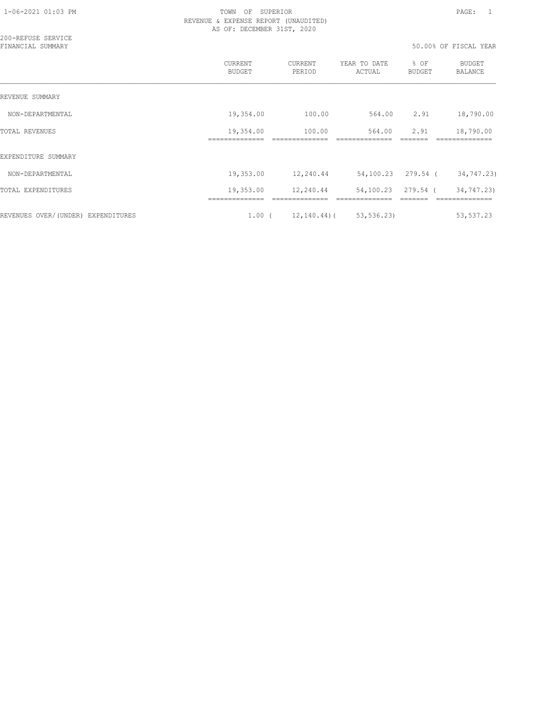| 200-REFUSE SERVICE<br>FINANCIAL SUMMARY |                           |                   |                        |                       | 50.00% OF FISCAL YEAR    |
|-----------------------------------------|---------------------------|-------------------|------------------------|-----------------------|--------------------------|
|                                         | CURRENT<br>BUDGET         | CURRENT<br>PERIOD | YEAR TO DATE<br>ACTUAL | % OF<br><b>BUDGET</b> | <b>BUDGET</b><br>BALANCE |
| REVENUE SUMMARY                         |                           |                   |                        |                       |                          |
| NON-DEPARTMENTAL                        | 19,354.00                 | 100.00            | 564.00                 | 2.91                  | 18,790.00                |
| <b>TOTAL REVENUES</b>                   | 19,354.00<br>============ | 100.00            | 564.00                 | 2.91                  | 18,790.00                |
| EXPENDITURE SUMMARY                     |                           |                   |                        |                       |                          |
| NON-DEPARTMENTAL                        | 19,353.00                 | 12,240.44         |                        | 54,100.23 279.54 (    | 34,747.23)               |
| TOTAL EXPENDITURES                      | 19,353.00                 | 12,240.44         |                        | 54,100.23 279.54 (    | 34,747.23)               |
| REVENUES OVER/(UNDER) EXPENDITURES      | $1.00$ (                  | $12, 140.44$ ) (  | 53, 536.23             |                       | 53,537.23                |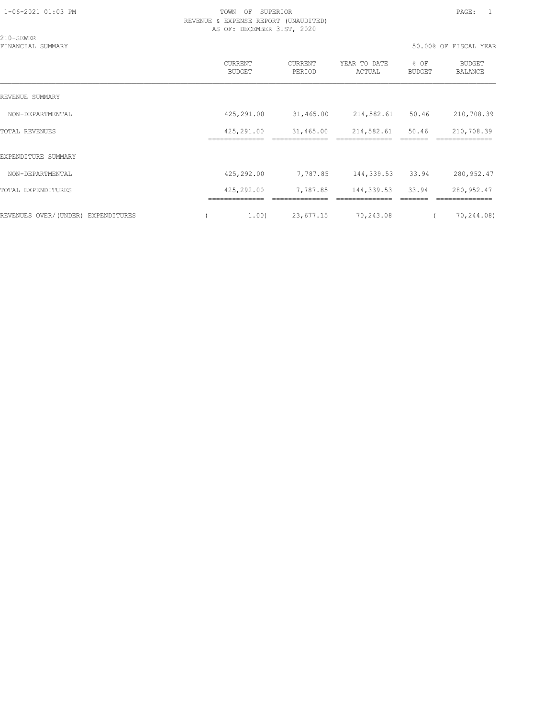| 210-SEWER                          |                              |                   |                        |                       |                          |
|------------------------------------|------------------------------|-------------------|------------------------|-----------------------|--------------------------|
| FINANCIAL SUMMARY                  |                              |                   |                        |                       | 50.00% OF FISCAL YEAR    |
|                                    | CURRENT<br><b>BUDGET</b>     | CURRENT<br>PERIOD | YEAR TO DATE<br>ACTUAL | % OF<br><b>BUDGET</b> | <b>BUDGET</b><br>BALANCE |
| REVENUE SUMMARY                    |                              |                   |                        |                       |                          |
| NON-DEPARTMENTAL                   | 425,291.00                   | 31,465.00         | 214,582.61             | 50.46                 | 210,708.39               |
| <b>TOTAL REVENUES</b>              | 425,291.00<br>============== | 31,465.00         | 214,582.61             | 50.46                 | 210,708.39<br>========== |
| EXPENDITURE SUMMARY                |                              |                   |                        |                       |                          |
| NON-DEPARTMENTAL                   | 425,292.00                   | 7,787.85          | 144,339.53 33.94       |                       | 280,952.47               |
| TOTAL EXPENDITURES                 | 425,292.00                   | 7,787.85          | 144,339.53             | 33.94                 | 280,952.47               |
| REVENUES OVER/(UNDER) EXPENDITURES | 1.00)                        | 23,677.15         | 70,243.08              |                       | 70,244.08)               |
|                                    |                              |                   |                        |                       |                          |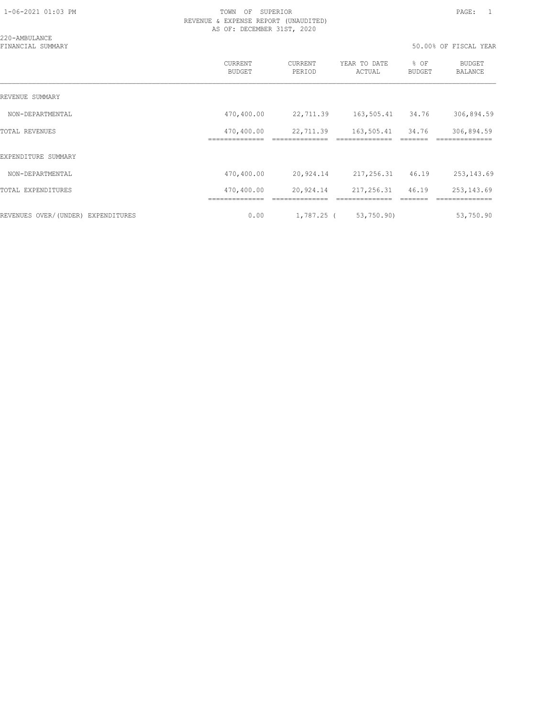| 220-AMBULANCE<br>FINANCIAL SUMMARY |                                 |                   |                        | 50.00% OF FISCAL YEAR |                          |  |
|------------------------------------|---------------------------------|-------------------|------------------------|-----------------------|--------------------------|--|
|                                    | <b>CURRENT</b><br><b>BUDGET</b> | CURRENT<br>PERIOD | YEAR TO DATE<br>ACTUAL | % OF<br><b>BUDGET</b> | BUDGET<br><b>BALANCE</b> |  |
| REVENUE SUMMARY                    |                                 |                   |                        |                       |                          |  |
| NON-DEPARTMENTAL                   | 470,400.00                      | 22,711.39         | 163,505.41 34.76       |                       | 306,894.59               |  |
| <b>TOTAL REVENUES</b>              | 470,400.00                      | 22,711.39         | 163,505.41 34.76       |                       | 306,894.59               |  |
| EXPENDITURE SUMMARY                |                                 |                   |                        |                       |                          |  |
| NON-DEPARTMENTAL                   | 470,400.00                      | 20,924.14         | 217,256.31 46.19       |                       | 253, 143.69              |  |
| TOTAL EXPENDITURES                 | 470,400.00                      | 20,924.14         | 217,256.31             | 46.19                 | 253, 143.69              |  |
| REVENUES OVER/(UNDER) EXPENDITURES | 0.00                            |                   | 1,787.25 ( 53,750.90)  |                       | 53,750.90                |  |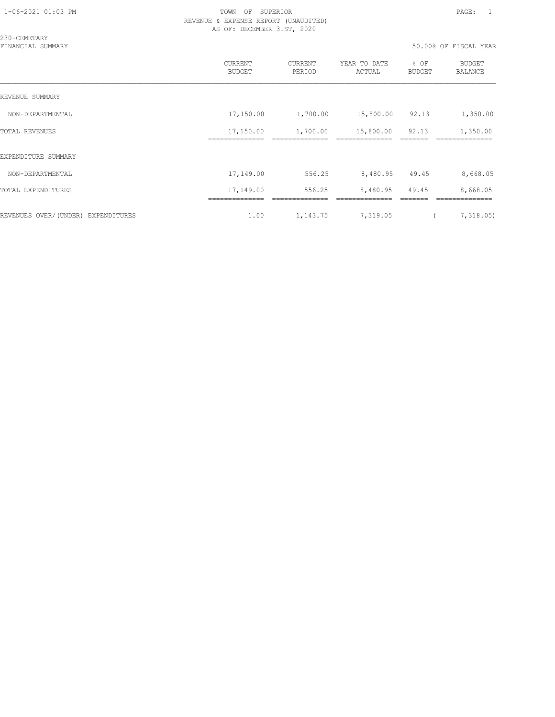| 230-CEMETARY<br>FINANCIAL SUMMARY  |                                 |                   |                        |                       | 50.00% OF FISCAL YEAR    |
|------------------------------------|---------------------------------|-------------------|------------------------|-----------------------|--------------------------|
|                                    | <b>CURRENT</b><br><b>BUDGET</b> | CURRENT<br>PERIOD | YEAR TO DATE<br>ACTUAL | % OF<br><b>BUDGET</b> | <b>BUDGET</b><br>BALANCE |
| REVENUE SUMMARY                    |                                 |                   |                        |                       |                          |
| NON-DEPARTMENTAL                   | 17,150.00                       | 1,700.00          | 15,800.00              | 92.13                 | 1,350.00                 |
| <b>TOTAL REVENUES</b>              | 17,150.00                       | 1,700.00          | 15,800.00              | 92.13                 | 1,350.00                 |
| EXPENDITURE SUMMARY                |                                 |                   |                        |                       |                          |
| NON-DEPARTMENTAL                   | 17,149.00                       | 556.25            | 8,480.95 49.45         |                       | 8,668.05                 |
| TOTAL EXPENDITURES                 | 17,149.00                       | 556.25            | 8,480.95               | 49.45                 | 8,668.05                 |
| REVENUES OVER/(UNDER) EXPENDITURES | 1.00                            | 1,143.75          | 7,319.05               |                       | 7,318.05                 |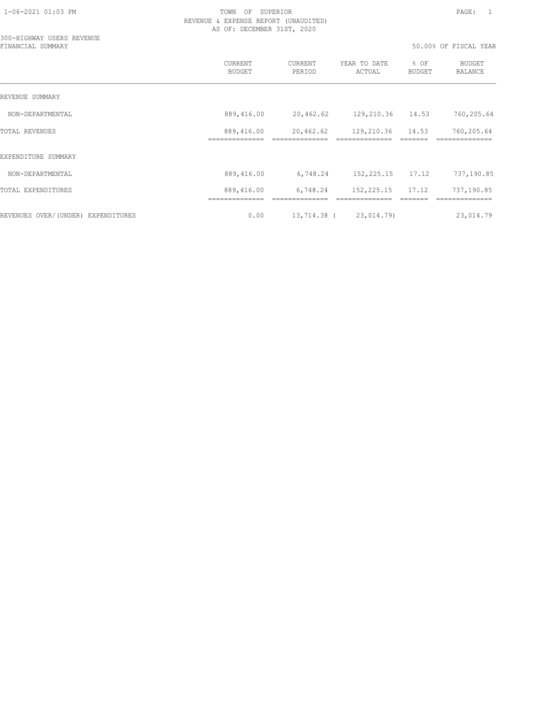300-HIGHWAY USERS REVENUE

### 1-06-2021 01:03 PM TOWN OF SUPERIOR PAGE: 1 REVENUE & EXPENSE REPORT (UNAUDITED) AS OF: DECEMBER 31ST, 2020

| FINANCIAL SUMMARY                     |                                 |                   |                        | 50.00% OF FISCAL YEAR |                              |  |
|---------------------------------------|---------------------------------|-------------------|------------------------|-----------------------|------------------------------|--|
|                                       | <b>CURRENT</b><br><b>BUDGET</b> | CURRENT<br>PERIOD | YEAR TO DATE<br>ACTUAL | % OF<br><b>BUDGET</b> | BUDGET<br><b>BALANCE</b>     |  |
| REVENUE SUMMARY                       |                                 |                   |                        |                       |                              |  |
| NON-DEPARTMENTAL                      | 889,416.00                      | 20,462.62         | 129,210.36             | 14.53                 | 760,205.64                   |  |
| TOTAL REVENUES                        | 889,416.00                      | 20,462.62         | 129,210.36             | 14.53                 | 760,205.64                   |  |
| EXPENDITURE SUMMARY                   |                                 |                   |                        |                       |                              |  |
| NON-DEPARTMENTAL                      | 889,416.00                      | 6,748.24          | 152,225.15             | 17.12                 | 737,190.85                   |  |
| TOTAL EXPENDITURES                    | 889,416.00<br>=============     | 6,748.24          | 152, 225.15            | 17.12                 | 737,190.85<br>-------------- |  |
| REVENUES OVER/(UNDER)<br>EXPENDITURES | 0.00                            | 13,714.38 (       | 23,014.79)             |                       | 23,014.79                    |  |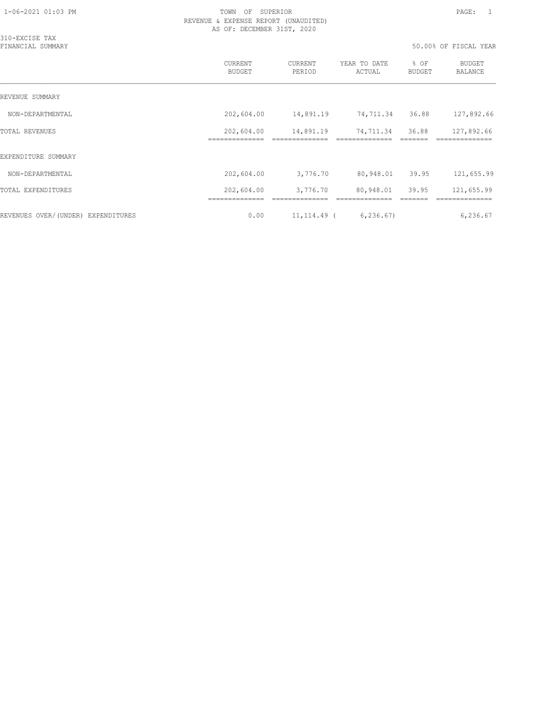| 310-EXCISE TAX<br>FINANCIAL SUMMARY |                              |                   |                             | 50.00% OF FISCAL YEAR |                          |  |
|-------------------------------------|------------------------------|-------------------|-----------------------------|-----------------------|--------------------------|--|
|                                     | CURRENT<br><b>BUDGET</b>     | CURRENT<br>PERIOD | YEAR TO DATE<br>ACTUAL      | % OF<br>BUDGET        | BUDGET<br>BALANCE        |  |
| REVENUE SUMMARY                     |                              |                   |                             |                       |                          |  |
| NON-DEPARTMENTAL                    | 202,604.00                   | 14,891.19         | 74,711.34                   | 36.88                 | 127,892.66               |  |
| TOTAL REVENUES                      | 202,604.00<br>============== | 14,891.19         | 74,711.34<br>============== | 36.88                 | 127,892.66<br>========== |  |
| EXPENDITURE SUMMARY                 |                              |                   |                             |                       |                          |  |
| NON-DEPARTMENTAL                    | 202,604.00                   | 3,776.70          | 80,948.01                   | 39.95                 | 121,655.99               |  |
| TOTAL EXPENDITURES                  | 202,604.00                   | 3,776.70          | 80,948.01                   | 39.95                 | 121,655.99               |  |
| REVENUES OVER/(UNDER) EXPENDITURES  | 0.00                         | 11,114.49 (       | 6, 236.67                   |                       | 6,236.67                 |  |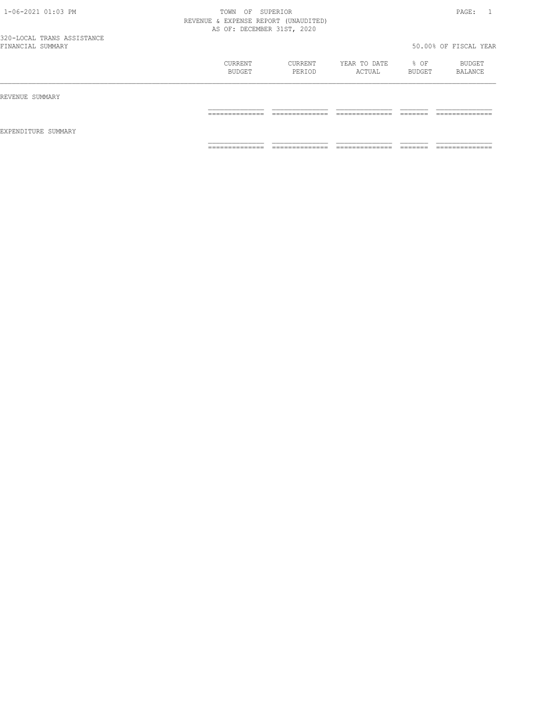| 1-06-2021 01:03 PM         | TOWN<br>OF                           | SUPERIOR                     |               |          | PAGE:                 |
|----------------------------|--------------------------------------|------------------------------|---------------|----------|-----------------------|
|                            | REVENUE & EXPENSE REPORT (UNAUDITED) |                              |               |          |                       |
|                            | AS OF: DECEMBER 31ST, 2020           |                              |               |          |                       |
| 320-LOCAL TRANS ASSISTANCE |                                      |                              |               |          |                       |
| FINANCIAL SUMMARY          |                                      |                              |               |          | 50.00% OF FISCAL YEAR |
|                            | CURRENT                              | CURRENT                      | YEAR TO DATE  | % OF     | BUDGET                |
|                            | BUDGET                               | PERIOD                       | ACTUAL        | BUDGET   | BALANCE               |
| REVENUE SUMMARY            |                                      |                              |               |          |                       |
|                            | ______________                       |                              |               |          | _____________         |
| EXPENDITURE SUMMARY        |                                      |                              |               |          |                       |
|                            | ______________<br>----------------   | ______________<br>---------- | _____________ | -------- | _____________         |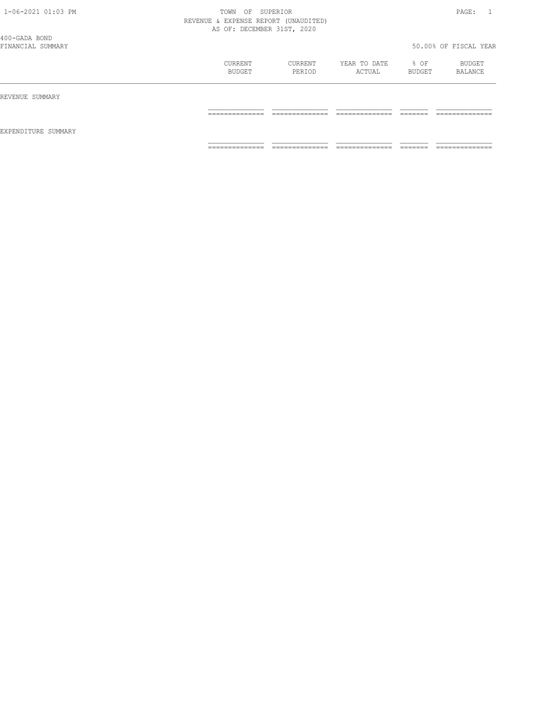| 1-06-2021 01:03 PM                 | TOWN<br>OF<br>REVENUE & EXPENSE REPORT (UNAUDITED)<br>AS OF: DECEMBER 31ST, 2020 | SUPERIOR                           |                                  |                       | PAGE:                             |
|------------------------------------|----------------------------------------------------------------------------------|------------------------------------|----------------------------------|-----------------------|-----------------------------------|
| 400-GADA BOND<br>FINANCIAL SUMMARY |                                                                                  |                                    |                                  |                       | 50.00% OF FISCAL YEAR             |
|                                    | CURRENT<br>BUDGET                                                                | CURRENT<br>PERIOD                  | YEAR TO DATE<br>ACTUAL           | % OF<br><b>BUDGET</b> | BUDGET<br>BALANCE                 |
| REVENUE SUMMARY                    |                                                                                  |                                    |                                  |                       |                                   |
|                                    | ---------------<br>______________                                                | --------------<br>______________   | _____________<br>_______________ | --------<br>________  | --------------<br>_______________ |
| EXPENDITURE SUMMARY                |                                                                                  |                                    |                                  |                       |                                   |
|                                    | ==============                                                                   | ______________<br>---------------- | ==============                   | _______<br>------     | ==============                    |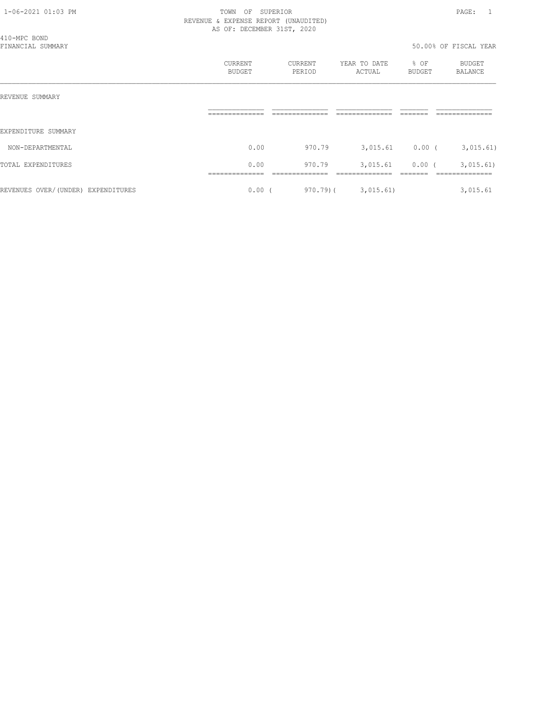|                                    | REVENUE & EXPENSE REPORT (UNAUDITED)<br>AS OF: DECEMBER 31ST, 2020 |                   |                          |                |                           |  |
|------------------------------------|--------------------------------------------------------------------|-------------------|--------------------------|----------------|---------------------------|--|
| 410-MPC BOND<br>FINANCIAL SUMMARY  |                                                                    |                   |                          |                | 50.00% OF FISCAL YEAR     |  |
|                                    | CURRENT<br>BUDGET                                                  | CURRENT<br>PERIOD | YEAR TO DATE<br>ACTUAL   | % OF<br>BUDGET | BUDGET<br>BALANCE         |  |
| REVENUE SUMMARY                    |                                                                    |                   |                          |                |                           |  |
|                                    |                                                                    |                   |                          |                |                           |  |
| EXPENDITURE SUMMARY                |                                                                    |                   |                          |                |                           |  |
| NON-DEPARTMENTAL                   | 0.00                                                               | 970.79            | 3,015.61 0.00 (3,015.61) |                |                           |  |
| TOTAL EXPENDITURES                 | 0.00                                                               | 970.79            |                          |                | 3,015.61 0.00 ( 3,015.61) |  |
| REVENUES OVER/(UNDER) EXPENDITURES | $0.00$ (                                                           |                   | $970.79$ ( $3,015.61$ )  |                | 3,015.61                  |  |

# 1-06-2021 01:03 PM TOWN OF SUPERIOR PAGE: 1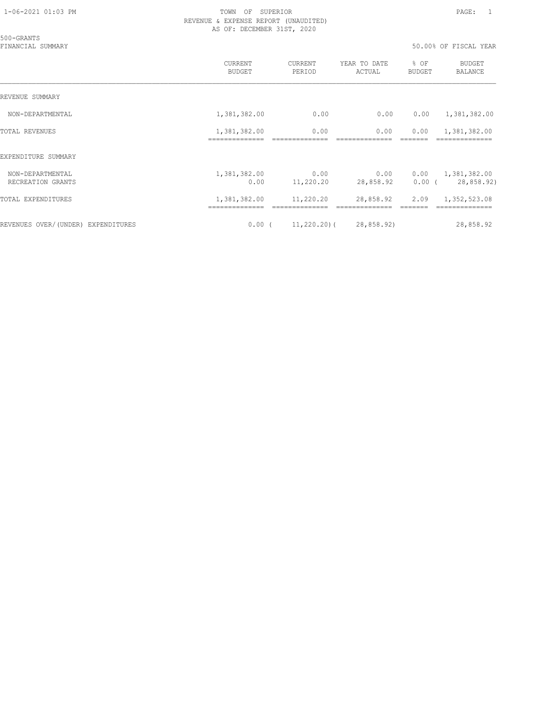|  | 50.00% OF FISCAL YEAR |  |
|--|-----------------------|--|

| 500-GRANTS<br>FINANCIAL SUMMARY       |                          |                   |                             | 50.00% OF FISCAL YEAR |                                                      |  |
|---------------------------------------|--------------------------|-------------------|-----------------------------|-----------------------|------------------------------------------------------|--|
|                                       | <b>CURRENT</b><br>BUDGET | CURRENT<br>PERIOD | YEAR TO DATE<br>ACTUAL      | % OF<br>BUDGET        | <b>BUDGET</b><br>BALANCE                             |  |
| REVENUE SUMMARY                       |                          |                   |                             |                       |                                                      |  |
| NON-DEPARTMENTAL                      | 1,381,382.00             | 0.00              | 0.00                        | 0.00                  | 1,381,382.00                                         |  |
| <b>TOTAL REVENUES</b>                 | 1,381,382.00             | 0.00              | 0.00                        | 0.00                  | 1,381,382.00                                         |  |
| EXPENDITURE SUMMARY                   |                          |                   |                             |                       |                                                      |  |
| NON-DEPARTMENTAL<br>RECREATION GRANTS | 1,381,382.00<br>0.00     | 0.00<br>11,220.20 | 0.00<br>28,858.92           |                       | $0.00 \qquad 1,381,382.00$<br>$0.00$ ( $28,858.92$ ) |  |
| TOTAL EXPENDITURES                    | 1,381,382.00             | 11,220.20         | 28,858.92                   | 2.09                  | 1,352,523.08                                         |  |
| REVENUES OVER/(UNDER) EXPENDITURES    | $0.00$ (                 |                   | $11,220.20$ ( $28,858.92$ ) |                       | 28,858.92                                            |  |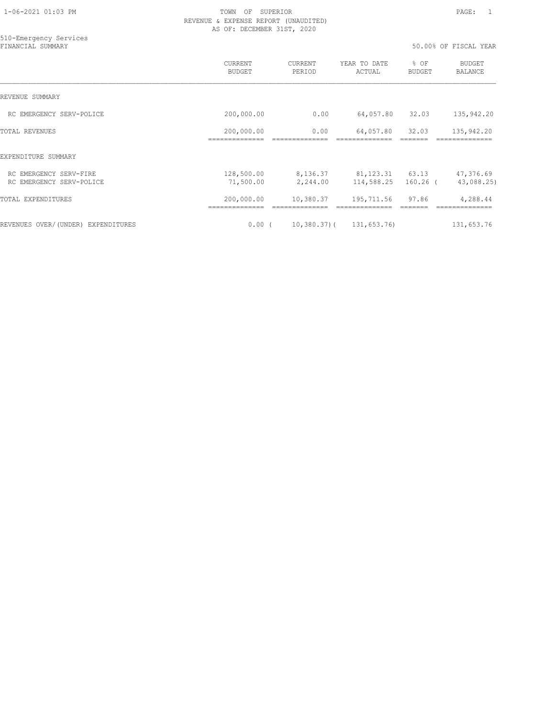510-Emergency Services

|                                                    | CURRENT<br><b>BUDGET</b>   | <b>CURRENT</b><br>PERIOD | YEAR TO DATE<br>ACTUAL           | % OF<br><b>BUDGET</b> | <b>BUDGET</b><br><b>BALANCE</b> |
|----------------------------------------------------|----------------------------|--------------------------|----------------------------------|-----------------------|---------------------------------|
| REVENUE SUMMARY                                    |                            |                          |                                  |                       |                                 |
| RC EMERGENCY SERV-POLICE                           | 200,000.00                 | 0.00                     | 64,057.80                        | 32.03                 | 135,942.20                      |
| <b>TOTAL REVENUES</b>                              | 200,000.00<br>------------ | 0.00                     | 64,057.80                        | 32.03                 | 135,942.20                      |
| EXPENDITURE SUMMARY                                |                            |                          |                                  |                       |                                 |
| RC EMERGENCY SERV-FIRE<br>RC EMERGENCY SERV-POLICE | 128,500.00<br>71,500.00    | 8,136.37<br>2,244.00     | 81, 123. 31 63. 13<br>114,588.25 | $160.26$ (            | 47,376.69<br>43,088.25)         |
| TOTAL EXPENDITURES                                 | 200,000.00                 | 10,380.37                | 195,711.56                       | 97.86                 | 4,288.44                        |
| REVENUES OVER/(UNDER) EXPENDITURES                 | $0.00$ (                   | $10,380.37$ ) (          | 131,653.76)                      |                       | 131,653.76                      |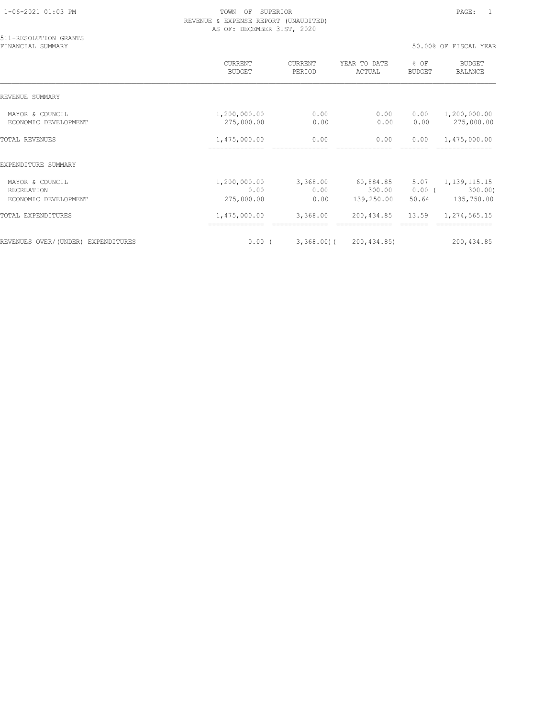| $1 - 06 - 2021$ $01:03$ PM |  |
|----------------------------|--|
|                            |  |

| 511-RESOLUTION GRANTS<br>FINANCIAL SUMMARY            |                                    |                          |                                   | 50.00% OF FISCAL YEAR     |                                          |  |
|-------------------------------------------------------|------------------------------------|--------------------------|-----------------------------------|---------------------------|------------------------------------------|--|
|                                                       | CURRENT<br><b>BUDGET</b>           | CURRENT<br>PERIOD        | YEAR TO DATE<br>ACTUAL            | % OF<br>BUDGET            | <b>BUDGET</b><br><b>BALANCE</b>          |  |
| REVENUE SUMMARY                                       |                                    |                          |                                   |                           |                                          |  |
| MAYOR & COUNCIL<br>ECONOMIC DEVELOPMENT               | 1,200,000.00<br>275,000.00         | 0.00<br>0.00             | 0.00<br>0.00                      | 0.00<br>0.00              | 1,200,000.00<br>275,000.00               |  |
| <b>TOTAL REVENUES</b>                                 | 1,475,000.00                       | 0.00                     | 0.00                              | 0.00                      | 1,475,000.00                             |  |
| EXPENDITURE SUMMARY                                   |                                    |                          |                                   |                           |                                          |  |
| MAYOR & COUNCIL<br>RECREATION<br>ECONOMIC DEVELOPMENT | 1,200,000.00<br>0.00<br>275,000.00 | 3,368.00<br>0.00<br>0.00 | 60,884.85<br>300.00<br>139,250.00 | 5.07<br>$0.00$ (<br>50.64 | 1, 139, 115. 15<br>300.00)<br>135,750.00 |  |
| <b>TOTAL EXPENDITURES</b>                             | 1,475,000.00                       | 3,368.00                 | 200,434.85                        | 13.59                     | 1,274,565.15                             |  |
| REVENUES OVER/(UNDER) EXPENDITURES                    | $0.00$ (                           | $3,368.00$ (             | 200, 434, 85)                     |                           | 200, 434.85                              |  |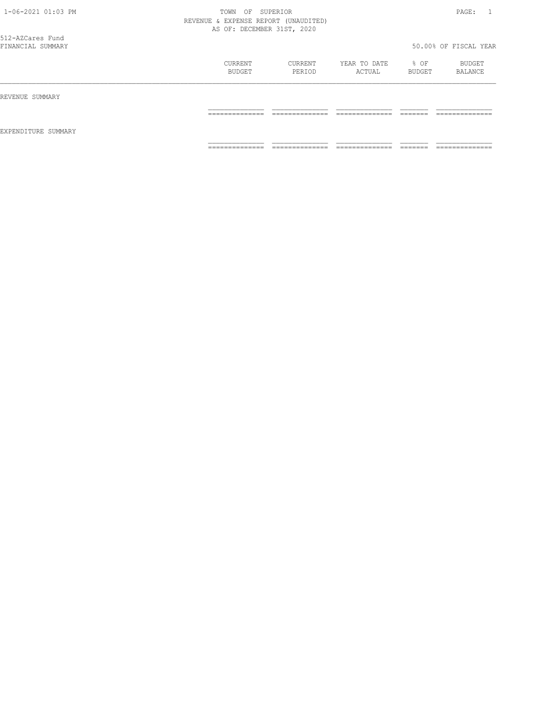| 1-06-2021 01:03 PM                    | TOWN<br>REVENUE & EXPENSE REPORT (UNAUDITED)<br>AS OF: DECEMBER 31ST, 2020 | OF SUPERIOR       |                        |                       | PAGE:<br>$\overline{1}$   |
|---------------------------------------|----------------------------------------------------------------------------|-------------------|------------------------|-----------------------|---------------------------|
| 512-AZCares Fund<br>FINANCIAL SUMMARY |                                                                            |                   |                        |                       | 50.00% OF FISCAL YEAR     |
|                                       | CURRENT<br>BUDGET                                                          | CURRENT<br>PERIOD | YEAR TO DATE<br>ACTUAL | % OF<br><b>BUDGET</b> | BUDGET<br>BALANCE         |
| REVENUE SUMMARY                       |                                                                            |                   |                        |                       |                           |
| EXPENDITURE SUMMARY                   | ==============                                                             | ______________    | _____________          | --------              | _____________<br>________ |
|                                       | --------------                                                             | ==============    | --------------         | --------<br>_______   | --------------            |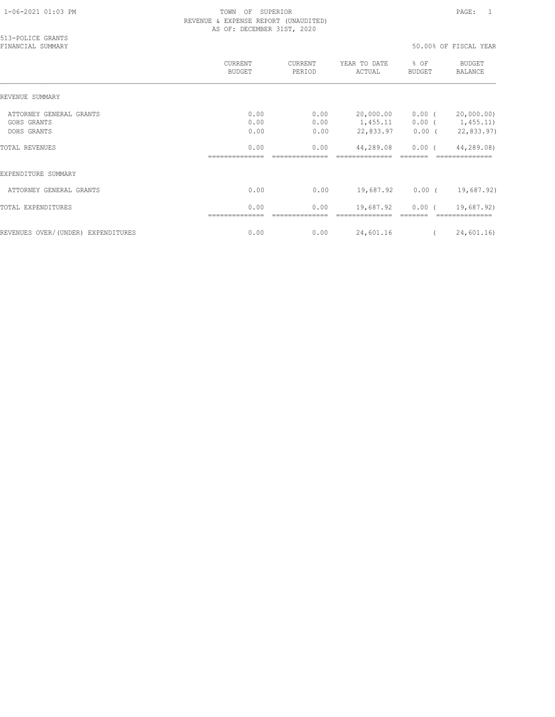| 513-POLICE GRANTS<br>FINANCIAL SUMMARY |                          |                   |                        |                | 50.00% OF FISCAL YEAR               |
|----------------------------------------|--------------------------|-------------------|------------------------|----------------|-------------------------------------|
|                                        | CURRENT<br><b>BUDGET</b> | CURRENT<br>PERIOD | YEAR TO DATE<br>ACTUAL | % OF<br>BUDGET | BUDGET<br>BALANCE                   |
| REVENUE SUMMARY                        |                          |                   |                        |                |                                     |
| ATTORNEY GENERAL GRANTS<br>GOHS GRANTS | 0.00<br>0.00             | 0.00<br>0.00      | 20,000.00<br>1,455.11  | $0.00$ (       | 20,000.00)<br>$0.00$ ( $1,455.11$ ) |
| DOHS GRANTS                            | 0.00                     | 0.00              | 22,833.97              | $0.00$ (       | 22,833.97)                          |
| <b>TOTAL REVENUES</b>                  | 0.00                     | 0.00              | 44,289.08              | $0.00$ (       | 44,289.08)                          |
| EXPENDITURE SUMMARY                    |                          |                   |                        |                |                                     |
| ATTORNEY GENERAL GRANTS                | 0.00                     | 0.00              | 19,687.92              | $0.00$ (       | 19,687.92)                          |
| TOTAL EXPENDITURES                     | 0.00                     | 0.00              | 19,687.92              | $0.00$ (       | 19,687.92)                          |
| REVENUES OVER/(UNDER) EXPENDITURES     | 0.00                     | 0.00              | 24,601.16              | $\sqrt{2}$     | 24,601.16                           |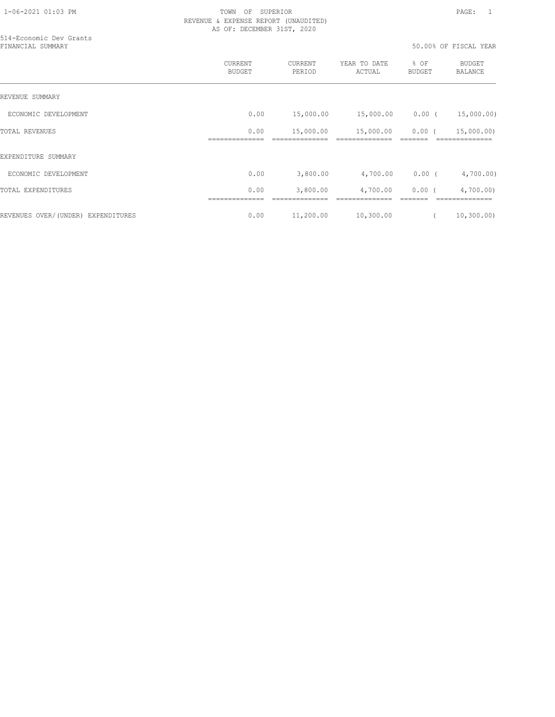514-Economic Dev Grants

### 1-06-2021 01:03 PM TOWN OF SUPERIOR PAGE: 1 REVENUE & EXPENSE REPORT (UNAUDITED) AS OF: DECEMBER 31ST, 2020

| FINANCIAL SUMMARY                  |                                 |                   |                        |                       | 50.00% OF FISCAL YEAR           |  |
|------------------------------------|---------------------------------|-------------------|------------------------|-----------------------|---------------------------------|--|
|                                    | <b>CURRENT</b><br><b>BUDGET</b> | CURRENT<br>PERIOD | YEAR TO DATE<br>ACTUAL | % OF<br><b>BUDGET</b> | <b>BUDGET</b><br><b>BALANCE</b> |  |
| REVENUE SUMMARY                    |                                 |                   |                        |                       |                                 |  |
| ECONOMIC DEVELOPMENT               | 0.00                            | 15,000.00         | 15,000.00              | $0.00$ (              | 15,000.00)                      |  |
| TOTAL REVENUES                     | 0.00                            | 15,000.00         | 15,000.00              | $0.00$ (              | 15,000.00)                      |  |
| EXPENDITURE SUMMARY                |                                 |                   |                        |                       |                                 |  |
| ECONOMIC DEVELOPMENT               | 0.00                            | 3,800.00          | 4,700.00               | $0.00$ (              | 4,700.00)                       |  |
| TOTAL EXPENDITURES                 | 0.00                            | 3,800.00          | 4,700.00               | $0.00$ (              | 4,700.00                        |  |
| REVENUES OVER/(UNDER) EXPENDITURES | 0.00                            | 11,200.00         | 10,300.00              |                       | 10, 300.00)                     |  |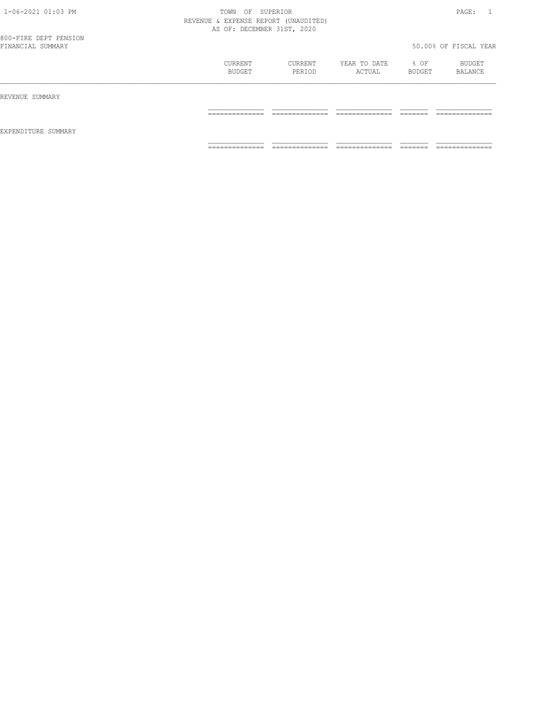| 1-06-2021 01:03 PM                         | TOWN                                 | OF SUPERIOR    |                |               | PAGE:<br>$\sim$ 1.    |
|--------------------------------------------|--------------------------------------|----------------|----------------|---------------|-----------------------|
|                                            | REVENUE & EXPENSE REPORT (UNAUDITED) |                |                |               |                       |
|                                            | AS OF: DECEMBER 31ST, 2020           |                |                |               |                       |
| 800-FIRE DEPT PENSION<br>FINANCIAL SUMMARY |                                      |                |                |               | 50.00% OF FISCAL YEAR |
|                                            |                                      |                |                |               |                       |
|                                            | CURRENT                              | CURRENT        | YEAR TO DATE   | $8$ OF        | BUDGET                |
|                                            | BUDGET                               | PERIOD         | ACTUAL         | <b>BUDGET</b> | BALANCE               |
| REVENUE SUMMARY                            |                                      |                |                |               |                       |
|                                            |                                      |                |                |               |                       |
|                                            | _____________                        | ______________ | ______________ | --------      | _____________         |
|                                            |                                      |                |                |               |                       |
| EXPENDITURE SUMMARY                        |                                      |                |                |               |                       |
|                                            | ______________                       | ______________ | ______________ | --------      | _____________         |
|                                            | --------------                       | ----------     | _________      |               | -----------           |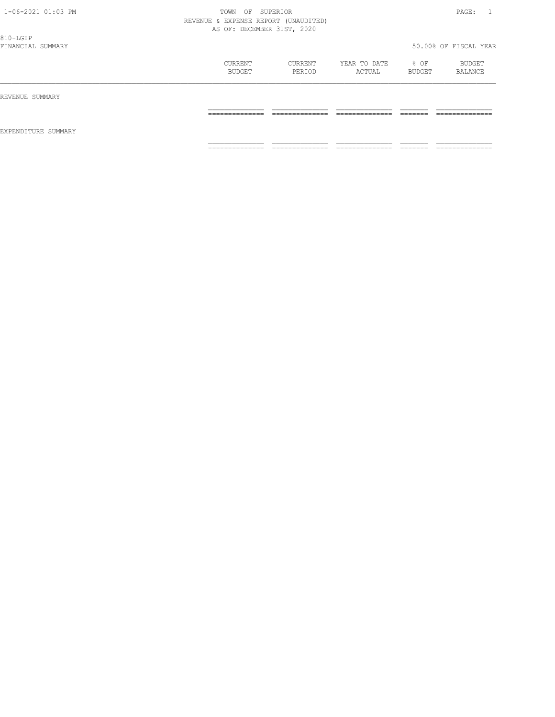| 1-06-2021 01:03 PM<br>810-LGIP | TOWN<br>OF<br>REVENUE & EXPENSE REPORT (UNAUDITED)<br>AS OF: DECEMBER 31ST, 2020 | SUPERIOR                          |                                  |                     | PAGE:<br>$\overline{1}$ |
|--------------------------------|----------------------------------------------------------------------------------|-----------------------------------|----------------------------------|---------------------|-------------------------|
| FINANCIAL SUMMARY              |                                                                                  |                                   |                                  |                     | 50.00% OF FISCAL YEAR   |
|                                | CURRENT<br>BUDGET                                                                | CURRENT<br>PERIOD                 | YEAR TO DATE<br>ACTUAL           | % OF<br>BUDGET      | BUDGET<br>BALANCE       |
| REVENUE SUMMARY                |                                                                                  |                                   |                                  |                     |                         |
|                                | --------------<br>______________                                                 | --------------<br>_______________ | --------------<br>______________ | -------<br>________ | --------------<br>.     |
| EXPENDITURE SUMMARY            |                                                                                  |                                   |                                  |                     |                         |
|                                | --------------                                                                   | ==============                    | --------------                   | --------<br>______  | --------------          |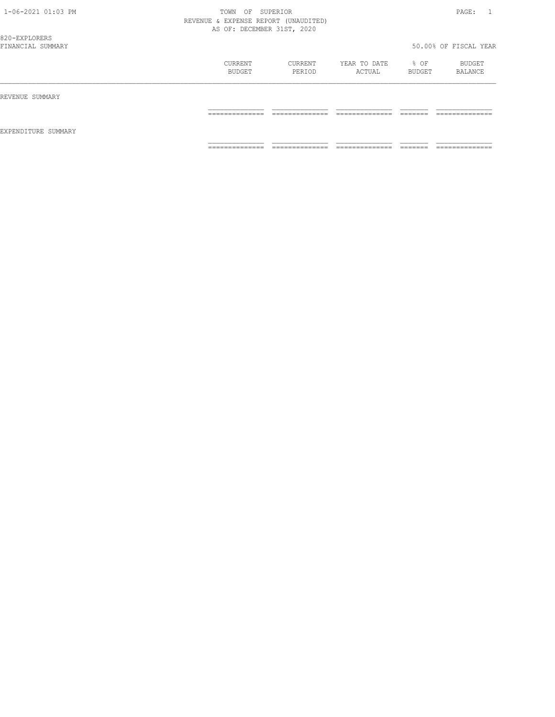| 1-06-2021 01:03 PM                 | TOWN<br>OF<br>REVENUE & EXPENSE REPORT (UNAUDITED)<br>AS OF: DECEMBER 31ST, 2020 | SUPERIOR                           |                                   |                       | PAGE:                             |
|------------------------------------|----------------------------------------------------------------------------------|------------------------------------|-----------------------------------|-----------------------|-----------------------------------|
| 820-EXPLORERS<br>FINANCIAL SUMMARY |                                                                                  |                                    |                                   |                       | 50.00% OF FISCAL YEAR             |
|                                    | CURRENT<br><b>BUDGET</b>                                                         | CURRENT<br>PERIOD                  | YEAR TO DATE<br>ACTUAL            | % OF<br><b>BUDGET</b> | BUDGET<br>BALANCE                 |
| REVENUE SUMMARY                    |                                                                                  |                                    |                                   |                       |                                   |
|                                    | ---------------<br>______________                                                | --------------<br>______________   | --------------<br>_______________ | -------<br>________   | --------------<br>_______________ |
| EXPENDITURE SUMMARY                |                                                                                  |                                    |                                   |                       |                                   |
|                                    | ==============                                                                   | ______________<br>---------------- | ==============                    | _______<br>______     | ==============                    |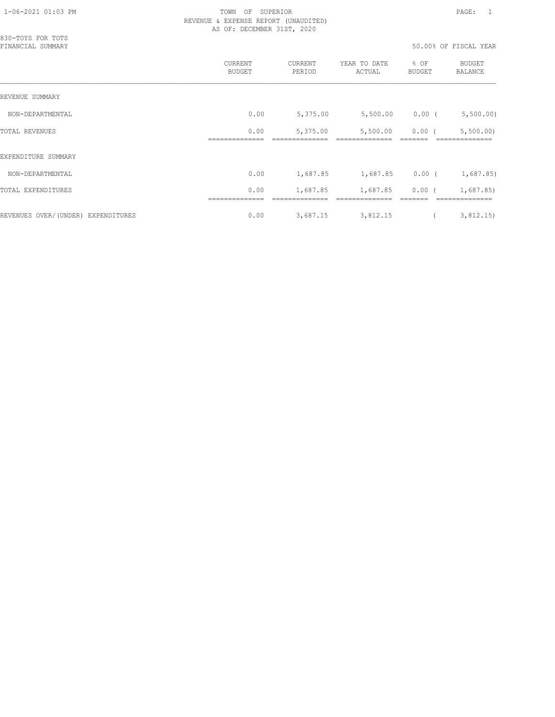| 830-TOYS FOR TOTS<br>FINANCIAL SUMMARY |                          |                   | 50.00% OF FISCAL YEAR  |                       |                          |
|----------------------------------------|--------------------------|-------------------|------------------------|-----------------------|--------------------------|
|                                        | CURRENT<br><b>BUDGET</b> | CURRENT<br>PERIOD | YEAR TO DATE<br>ACTUAL | % OF<br><b>BUDGET</b> | <b>BUDGET</b><br>BALANCE |
| REVENUE SUMMARY                        |                          |                   |                        |                       |                          |
| NON-DEPARTMENTAL                       | 0.00                     | 5,375.00          | 5,500.00               | $0.00$ (              | 5,500.00)                |
| <b>TOTAL REVENUES</b>                  | 0.00                     | 5,375.00          | 5,500.00               | $0.00$ (              | 5,500.00                 |
| EXPENDITURE SUMMARY                    |                          |                   |                        |                       |                          |
| NON-DEPARTMENTAL                       | 0.00                     | 1,687.85          | 1,687.85               | $0.00$ (              | 1,687.85)                |
| TOTAL EXPENDITURES                     | 0.00                     | 1,687.85          | 1,687.85               | 0.00(                 | 1,687.85                 |
| REVENUES OVER/(UNDER) EXPENDITURES     | 0.00                     | 3,687.15          | 3,812.15               |                       | 3,812.15)                |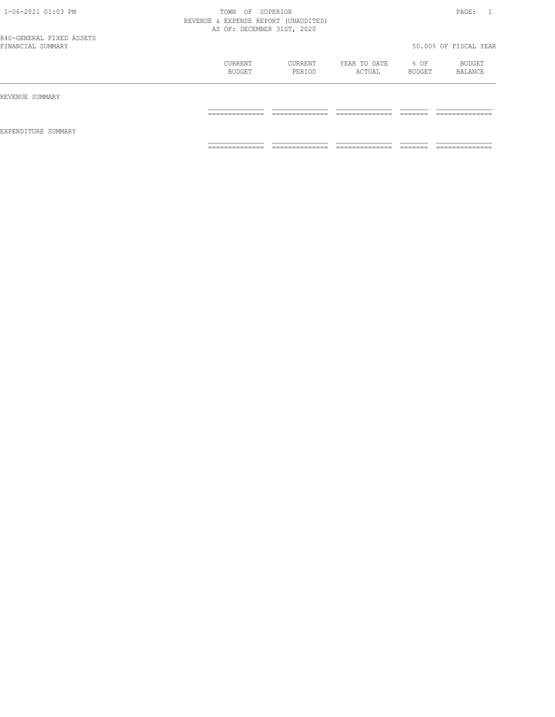| 1-06-2021 01:03 PM       | TOWN                                 | OF SUPERIOR    |              |               | PAGE:                 |
|--------------------------|--------------------------------------|----------------|--------------|---------------|-----------------------|
|                          | REVENUE & EXPENSE REPORT (UNAUDITED) |                |              |               |                       |
|                          | AS OF: DECEMBER 31ST, 2020           |                |              |               |                       |
| 840-GENERAL FIXED ASSETS |                                      |                |              |               |                       |
| FINANCIAL SUMMARY        |                                      |                |              |               | 50.00% OF FISCAL YEAR |
|                          | CURRENT                              | CURRENT        | YEAR TO DATE | $8$ OF        | BUDGET                |
|                          | BUDGET                               | PERIOD         | ACTUAL       | <b>BUDGET</b> | BALANCE               |
| REVENUE SUMMARY          |                                      |                |              |               |                       |
|                          | ______________                       | ______________ |              | --------      | _____________         |
| EXPENDITURE SUMMARY      |                                      |                |              |               |                       |
|                          | _____________                        | _____________  |              |               |                       |